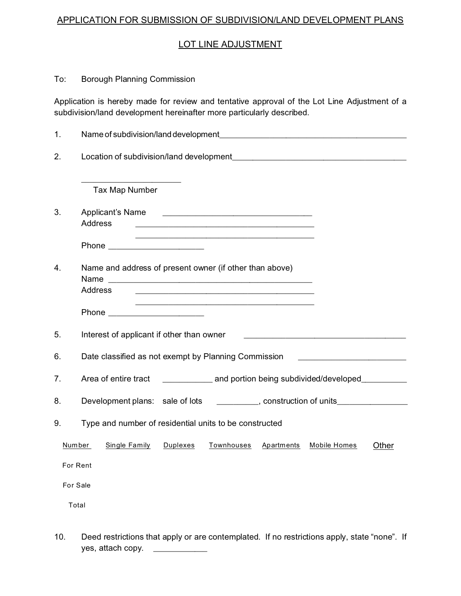## APPLICATION FOR SUBMISSION OF SUBDIVISION/LAND DEVELOPMENT PLANS

## LOT LINE ADJUSTMENT

## To: Borough Planning Commission

Application is hereby made for review and tentative approval of the Lot Line Adjustment of a subdivision/land development hereinafter more particularly described.

| 1.       |                                                                                                                          |  |  |
|----------|--------------------------------------------------------------------------------------------------------------------------|--|--|
| 2.       |                                                                                                                          |  |  |
|          | Tax Map Number                                                                                                           |  |  |
| 3.       | Applicant's Name<br>Address<br><u> 1989 - Johann Stoff, amerikansk politiker (d. 1989)</u>                               |  |  |
|          | Phone _________________________                                                                                          |  |  |
| 4.       | Name and address of present owner (if other than above)<br>Address                                                       |  |  |
|          | Phone ________________________                                                                                           |  |  |
| 5.       | Interest of applicant if other than owner<br><u> 1980 - John Stein, Amerikaansk politiker († 1900)</u>                   |  |  |
| 6.       | Date classified as not exempt by Planning Commission [10] [10] [10] Date classified as not exempt by Planning Commission |  |  |
| 7.       | Area of entire tract _______________ and portion being subdivided/developed_________                                     |  |  |
| 8.       | Development plans: sale of lots _________, construction of units_______________                                          |  |  |
| 9.       | Type and number of residential units to be constructed                                                                   |  |  |
|          | Number<br><b>Single Family</b><br>Duplexes<br><b>Townhouses</b><br><b>Apartments</b><br><b>Mobile Homes</b><br>Other     |  |  |
|          | For Rent                                                                                                                 |  |  |
| For Sale |                                                                                                                          |  |  |
|          | Total                                                                                                                    |  |  |
|          |                                                                                                                          |  |  |

10. Deed restrictions that apply or are contemplated. If no restrictions apply, state "none". If yes, attach copy. \_\_